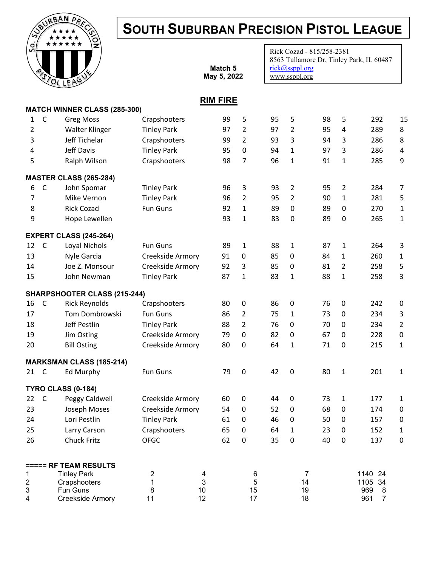## SOUTH SUBURBAN PRECISION PISTOL LEAGUE

Rick Cozad - 815/258-2381



|                |              | STOLLEAGU                           |                         |              | Match 5<br>May 5, 2022 |                  |    | rick@ssppl.org<br>www.ssppl.org |    |                | 8563 Tullamore Dr, Tinley Park, IL 60487 |             |
|----------------|--------------|-------------------------------------|-------------------------|--------------|------------------------|------------------|----|---------------------------------|----|----------------|------------------------------------------|-------------|
|                |              |                                     |                         |              | <b>RIM FIRE</b>        |                  |    |                                 |    |                |                                          |             |
|                |              | <b>MATCH WINNER CLASS (285-300)</b> |                         |              |                        |                  |    |                                 |    |                |                                          |             |
| 1              | $\mathsf C$  | <b>Greg Moss</b>                    | Crapshooters            |              | 99                     | 5                | 95 | 5                               | 98 | 5              | 292                                      | 15          |
| 2              |              | Walter Klinger                      | <b>Tinley Park</b>      |              | 97                     | $\overline{2}$   | 97 | $\overline{2}$                  | 95 | 4              | 289                                      | 8           |
| 3              |              | Jeff Tichelar                       | Crapshooters            |              | 99                     | $\overline{2}$   | 93 | 3                               | 94 | 3              | 286                                      | 8           |
| 4              |              | Jeff Davis                          | <b>Tinley Park</b>      |              | 95                     | $\mathbf 0$      | 94 | $\mathbf{1}$                    | 97 | 3              | 286                                      | 4           |
| 5              |              | Ralph Wilson                        | Crapshooters            |              | 98                     | 7                | 96 | $\mathbf{1}$                    | 91 | 1              | 285                                      | 9           |
|                |              | <b>MASTER CLASS (265-284)</b>       |                         |              |                        |                  |    |                                 |    |                |                                          |             |
| 6              | $\mathsf{C}$ | John Spomar                         | <b>Tinley Park</b>      |              | 96                     | 3                | 93 | $\overline{2}$                  | 95 | 2              | 284                                      | 7           |
| 7              |              | Mike Vernon                         | <b>Tinley Park</b>      |              | 96                     | $\overline{2}$   | 95 | $\overline{2}$                  | 90 | $\mathbf{1}$   | 281                                      | 5           |
| 8              |              | <b>Rick Cozad</b>                   | <b>Fun Guns</b>         |              | 92                     | $\mathbf{1}$     | 89 | 0                               | 89 | $\pmb{0}$      | 270                                      | 1           |
| 9              |              | Hope Lewellen                       |                         |              | 93                     | 1                | 83 | 0                               | 89 | $\pmb{0}$      | 265                                      | 1           |
|                |              | <b>EXPERT CLASS (245-264)</b>       |                         |              |                        |                  |    |                                 |    |                |                                          |             |
| 12             | $\mathsf{C}$ | Loyal Nichols                       | Fun Guns                |              | 89                     | $\mathbf{1}$     | 88 | 1                               | 87 | 1              | 264                                      | 3           |
| 13             |              | Nyle Garcia                         | Creekside Armory        |              | 91                     | $\mathbf 0$      | 85 | 0                               | 84 | 1              | 260                                      | 1           |
| 14             |              | Joe Z. Monsour                      | Creekside Armory        |              | 92                     | 3                | 85 | $\boldsymbol{0}$                | 81 | $\overline{2}$ | 258                                      | 5           |
| 15             |              | John Newman                         | <b>Tinley Park</b>      |              | 87                     | $\mathbf{1}$     | 83 | 1                               | 88 | 1              | 258                                      | 3           |
|                |              | <b>SHARPSHOOTER CLASS (215-244)</b> |                         |              |                        |                  |    |                                 |    |                |                                          |             |
| 16             | $\mathsf{C}$ | <b>Rick Reynolds</b>                | Crapshooters            |              | 80                     | 0                | 86 | $\boldsymbol{0}$                | 76 | $\pmb{0}$      | 242                                      | 0           |
| 17             |              | Tom Dombrowski                      | <b>Fun Guns</b>         |              | 86                     | $\overline{2}$   | 75 | $\mathbf{1}$                    | 73 | 0              | 234                                      | 3           |
| 18             |              | Jeff Pestlin                        | <b>Tinley Park</b>      |              | 88                     | $\overline{2}$   | 76 | 0                               | 70 | 0              | 234                                      | 2           |
| 19             |              | Jim Osting                          | Creekside Armory        |              | 79                     | $\pmb{0}$        | 82 | $\boldsymbol{0}$                | 67 | 0              | 228                                      | $\pmb{0}$   |
| 20             |              | <b>Bill Osting</b>                  | Creekside Armory        |              | 80                     | $\mathbf 0$      | 64 | $\mathbf{1}$                    | 71 | $\pmb{0}$      | 215                                      | 1           |
|                |              | <b>MARKSMAN CLASS (185-214)</b>     |                         |              |                        |                  |    |                                 |    |                |                                          |             |
| 21             | $\mathsf C$  | <b>Ed Murphy</b>                    | <b>Fun Guns</b>         |              | 79                     | $\mathbf 0$      | 42 | 0                               | 80 | 1              | 201                                      | 1           |
|                |              | <b>TYRO CLASS (0-184)</b>           |                         |              |                        |                  |    |                                 |    |                |                                          |             |
| 22             | $\mathsf C$  | Peggy Caldwell                      | Creekside Armory        |              | 60                     | $\pmb{0}$        | 44 | 0                               | 73 | $\mathbf 1$    | 177                                      | 1           |
| 23             |              | Joseph Moses                        | Creekside Armory        |              | 54                     | $\pmb{0}$        | 52 | $\pmb{0}$                       | 68 | $\pmb{0}$      | 174                                      | $\mathbf 0$ |
| 24             |              | Lori Pestlin                        | <b>Tinley Park</b>      |              | 61                     | $\mathbf 0$      | 46 | 0                               | 50 | 0              | 157                                      | $\mathbf 0$ |
| 25             |              | Larry Carson                        | Crapshooters            |              | 65                     | $\pmb{0}$        | 64 | $\mathbf{1}$                    | 23 | $\pmb{0}$      | 152                                      | 1           |
| 26             |              | <b>Chuck Fritz</b>                  | <b>OFGC</b>             |              | 62                     | $\boldsymbol{0}$ | 35 | $\pmb{0}$                       | 40 | $\pmb{0}$      | 137                                      | $\pmb{0}$   |
|                |              | ===== RF TEAM RESULTS               |                         |              |                        |                  |    |                                 |    |                |                                          |             |
| 1              |              | <b>Tinley Park</b>                  | $\overline{\mathbf{c}}$ | 4            |                        | 6                |    | $\overline{7}$                  |    |                | 1140 24                                  |             |
| $\overline{c}$ |              | Crapshooters                        | $\mathbf 1$             | $\mathbf{3}$ |                        | 5                |    | 14                              |    |                | 1105<br>34                               |             |
| 3<br>4         |              | Fun Guns                            | 8<br>11                 | $10$<br>12   |                        | 15<br>17         |    | 19<br>18                        |    |                | 969<br>8<br>961<br>$\overline{7}$        |             |
|                |              | Creekside Armory                    |                         |              |                        |                  |    |                                 |    |                |                                          |             |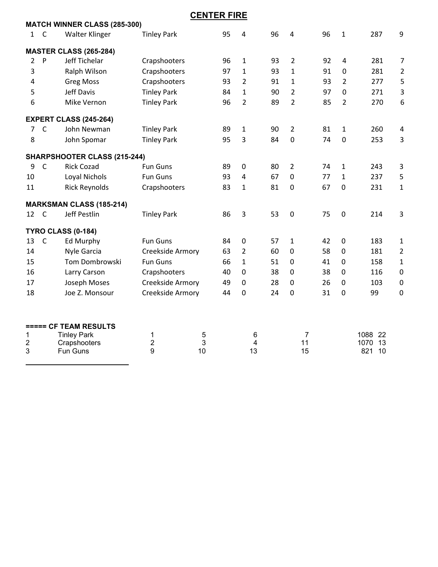|                |              |                                     |                    | <b>CENTER FIRE</b> |    |                |    |                      |    |                |                       |                |
|----------------|--------------|-------------------------------------|--------------------|--------------------|----|----------------|----|----------------------|----|----------------|-----------------------|----------------|
|                |              | <b>MATCH WINNER CLASS (285-300)</b> |                    |                    |    |                |    |                      |    |                |                       |                |
| $\mathbf{1}$   | $\mathsf{C}$ | Walter Klinger                      | <b>Tinley Park</b> |                    | 95 | 4              | 96 | $\overline{4}$       | 96 | $\mathbf{1}$   | 287                   | 9              |
|                |              | <b>MASTER CLASS (265-284)</b>       |                    |                    |    |                |    |                      |    |                |                       |                |
| $\overline{2}$ | P            | <b>Jeff Tichelar</b>                | Crapshooters       |                    | 96 | $\mathbf{1}$   | 93 | $\overline{2}$       | 92 | 4              | 281                   | 7              |
| 3              |              | Ralph Wilson                        | Crapshooters       |                    | 97 | $\mathbf{1}$   | 93 | $\mathbf{1}$         | 91 | 0              | 281                   | $\overline{2}$ |
| 4              |              | <b>Greg Moss</b>                    | Crapshooters       |                    | 93 | $\overline{2}$ | 91 | $\mathbf{1}$         | 93 | $\overline{2}$ | 277                   | 5              |
| 5              |              | <b>Jeff Davis</b>                   | <b>Tinley Park</b> |                    | 84 | 1              | 90 | $\overline{2}$       | 97 | 0              | 271                   | 3              |
| 6              |              | Mike Vernon                         | <b>Tinley Park</b> |                    | 96 | $\overline{2}$ | 89 | $\overline{2}$       | 85 | $\overline{2}$ | 270                   | 6              |
|                |              | <b>EXPERT CLASS (245-264)</b>       |                    |                    |    |                |    |                      |    |                |                       |                |
| 7              | $\mathsf{C}$ | John Newman                         | <b>Tinley Park</b> |                    | 89 | $\mathbf{1}$   | 90 | $\overline{2}$       | 81 | $\mathbf{1}$   | 260                   | $\overline{4}$ |
| 8              |              | John Spomar                         | <b>Tinley Park</b> |                    | 95 | 3              | 84 | 0                    | 74 | $\mathbf 0$    | 253                   | 3              |
|                |              | SHARPSHOOTER CLASS (215-244)        |                    |                    |    |                |    |                      |    |                |                       |                |
| 9              | $\mathsf{C}$ | <b>Rick Cozad</b>                   | <b>Fun Guns</b>    |                    | 89 | $\mathbf 0$    | 80 | $\overline{2}$       | 74 | 1              | 243                   | 3              |
| 10             |              | Loyal Nichols                       | <b>Fun Guns</b>    |                    | 93 | 4              | 67 | $\mathbf 0$          | 77 | $\mathbf{1}$   | 237                   | 5              |
| 11             |              | <b>Rick Reynolds</b>                | Crapshooters       |                    | 83 | 1              | 81 | $\mathbf 0$          | 67 | $\mathbf 0$    | 231                   | $\mathbf{1}$   |
|                |              | <b>MARKSMAN CLASS (185-214)</b>     |                    |                    |    |                |    |                      |    |                |                       |                |
| 12             | $\mathsf{C}$ | Jeff Pestlin                        | <b>Tinley Park</b> |                    | 86 | 3              | 53 | $\boldsymbol{0}$     | 75 | $\mathbf 0$    | 214                   | 3              |
|                |              | TYRO CLASS (0-184)                  |                    |                    |    |                |    |                      |    |                |                       |                |
| 13             | $\mathsf{C}$ | <b>Ed Murphy</b>                    | <b>Fun Guns</b>    |                    | 84 | $\mathbf 0$    | 57 | $\mathbf{1}$         | 42 | $\mathbf 0$    | 183                   | $\mathbf{1}$   |
| 14             |              | Nyle Garcia                         | Creekside Armory   |                    | 63 | $\overline{2}$ | 60 | 0                    | 58 | $\mathbf 0$    | 181                   | $\overline{2}$ |
| 15             |              | Tom Dombrowski                      | <b>Fun Guns</b>    |                    | 66 | $\mathbf 1$    | 51 | 0                    | 41 | $\mathbf{0}$   | 158                   | $\mathbf{1}$   |
| 16             |              | Larry Carson                        | Crapshooters       |                    | 40 | $\mathbf{0}$   | 38 | $\mathbf 0$          | 38 | $\mathbf 0$    | 116                   | $\mathbf 0$    |
| 17             |              | Joseph Moses                        | Creekside Armory   |                    | 49 | $\Omega$       | 28 | $\mathbf 0$          | 26 | 0              | 103                   | $\pmb{0}$      |
| 18             |              | Joe Z. Monsour                      | Creekside Armory   |                    | 44 | 0              | 24 | $\mathbf 0$          | 31 | $\mathbf 0$    | 99                    | $\mathbf 0$    |
|                |              |                                     |                    |                    |    |                |    |                      |    |                |                       |                |
|                |              | ===== CF TEAM RESULTS               |                    |                    |    |                |    |                      |    |                |                       |                |
| 1<br>2         |              | <b>Tinley Park</b><br>Crapshooters  | 1<br>2             | 5<br>3             |    | 6<br>4         |    | $\overline{7}$<br>11 |    |                | 1088 22<br>13<br>1070 |                |
| 3              |              | <b>Fun Guns</b>                     | 9                  | 10                 |    | 13             |    | 15                   |    |                | 821<br>10             |                |